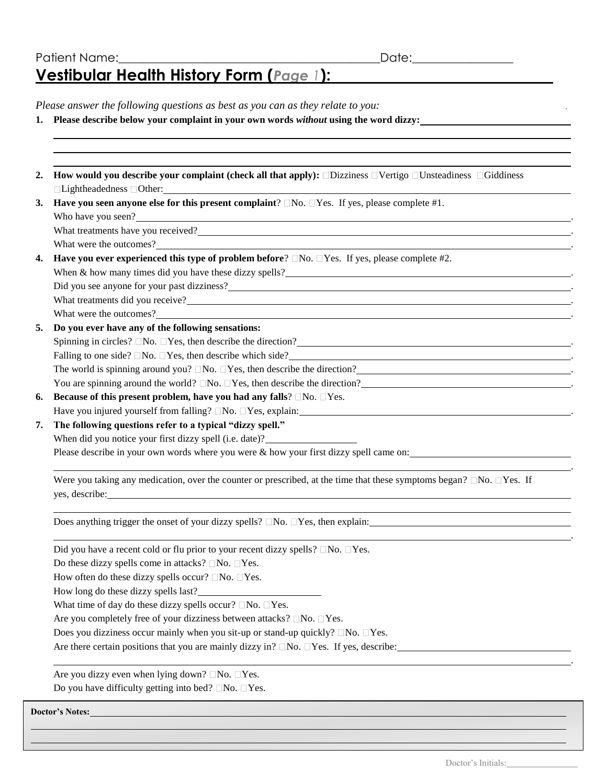**.**

*Please answer the following questions as best as you can as they relate to you:*

| 1. Please describe below your complaint in your own words without using the word dizzy: |  |
|-----------------------------------------------------------------------------------------|--|
|-----------------------------------------------------------------------------------------|--|

| How would you describe your complaint (check all that apply): $\Box$ Dizziness $\Box$ Vertigo $\Box$ Unsteadiness $\Box$ Giddiness<br>□Lightheadedness □Other:                                                                       |
|--------------------------------------------------------------------------------------------------------------------------------------------------------------------------------------------------------------------------------------|
| Have you seen anyone else for this present complaint? $\Box$ No. $\Box$ Yes. If yes, please complete #1.                                                                                                                             |
| Who have you seen?                                                                                                                                                                                                                   |
| What treatments have you received?                                                                                                                                                                                                   |
| What were the outcomes?                                                                                                                                                                                                              |
| Have you ever experienced this type of problem before? $\Box$ No. $\Box$ Yes. If yes, please complete #2.                                                                                                                            |
| When & how many times did you have these dizzy spells?<br>The many times did you have these dizzy spells?<br>The many spells and the many spells and the many spells and the many spells are the many spells and the many spells a   |
| Did you see anyone for your past dizziness?                                                                                                                                                                                          |
|                                                                                                                                                                                                                                      |
| What were the outcomes?<br><u> United States</u> and States and States and States and States and States and States and States and States and States and States and States and States and States and States and States and States and |
| Do you ever have any of the following sensations:                                                                                                                                                                                    |
| Spinning in circles? $\Box$ No. $\Box$ Yes, then describe the direction?                                                                                                                                                             |
| Falling to one side? $\square$ No. $\square$ Yes, then describe which side?<br><u> 1989 - Johann Stein, marwolaethau a bhann an t-Amhair an t-Amhair an t-Amhair an t-Amhair an t-Amhair an t-A</u>                                  |
| The world is spinning around you? $\Box$ No. $\Box$ Yes, then describe the direction?                                                                                                                                                |
| You are spinning around the world? $\square$ No. $\square$ Yes, then describe the direction?                                                                                                                                         |
| Because of this present problem, have you had any falls? $\Box$ No. $\Box$ Yes.                                                                                                                                                      |
| Have you injured yourself from falling? $\square$ No. $\square$ Yes, explain:                                                                                                                                                        |
| The following questions refer to a typical "dizzy spell."                                                                                                                                                                            |
| When did you notice your first dizzy spell (i.e. date)?                                                                                                                                                                              |
| Please describe in your own words where you were & how your first dizzy spell came on:                                                                                                                                               |
| Were you taking any medication, over the counter or prescribed, at the time that these symptoms began? $\Box$ No. $\Box$ Yes. If                                                                                                     |
| Does anything trigger the onset of your dizzy spells? $\Box$ No. $\Box$ Yes, then explain:                                                                                                                                           |
| Did you have a recent cold or flu prior to your recent dizzy spells? $\square$ No. $\square$ Yes.                                                                                                                                    |
| Do these dizzy spells come in attacks? $\Box$ No. $\Box$ Yes.                                                                                                                                                                        |
| How often do these dizzy spells occur? $\Box$ No. $\Box$ Yes.                                                                                                                                                                        |
| How long do these dizzy spells last?                                                                                                                                                                                                 |
| What time of day do these dizzy spells occur? $\Box$ No. $\Box$ Yes.                                                                                                                                                                 |
| Are you completely free of your dizziness between attacks? □No. □Yes.                                                                                                                                                                |
| Does you dizziness occur mainly when you sit-up or stand-up quickly? $\Box$ No. $\Box$ Yes.                                                                                                                                          |
| Are there certain positions that you are mainly dizzy in? $\square$ No. $\square$ Yes. If yes, describe:                                                                                                                             |
| Are you dizzy even when lying down? $\Box$ No. $\Box$ Yes.                                                                                                                                                                           |
| Do you have difficulty getting into bed? $\Box$ No. $\Box$ Yes.                                                                                                                                                                      |

**Doctor's Notes:**